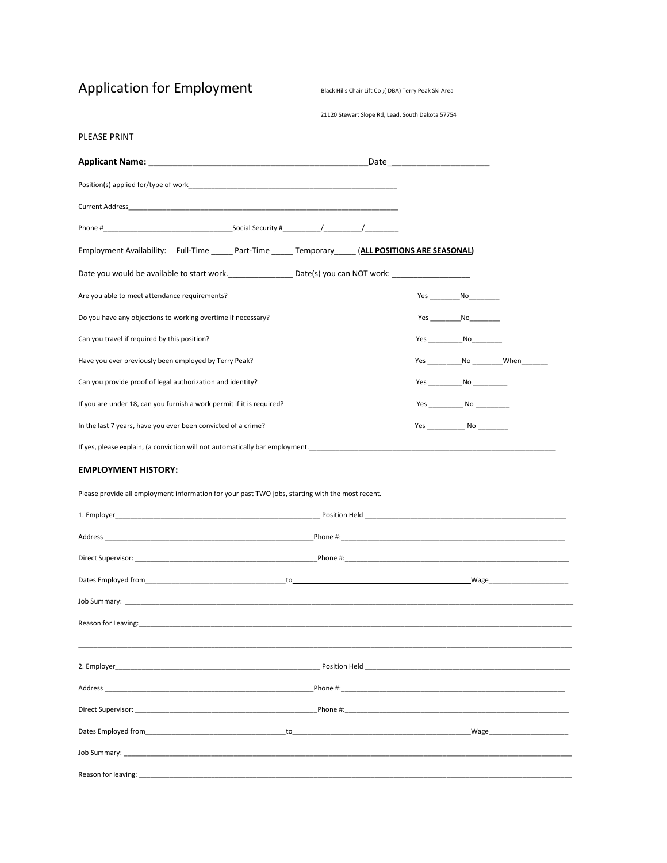Application for Employment Black Hills Chair Lift Co ;( DBA) Terry Peak Ski Area

#### 21120 Stewart Slope Rd, Lead, South Dakota 57754

| PLEASE PRINT                                                                                                                                                                                                                   |                                                                                                                                                                                                                                |                                     |  |
|--------------------------------------------------------------------------------------------------------------------------------------------------------------------------------------------------------------------------------|--------------------------------------------------------------------------------------------------------------------------------------------------------------------------------------------------------------------------------|-------------------------------------|--|
|                                                                                                                                                                                                                                | Date and the contract of the contract of the contract of the contract of the contract of the contract of the contract of the contract of the contract of the contract of the contract of the contract of the contract of the c |                                     |  |
| Position(s) applied for/type of work product to a series of the series of the series of the series of the series of the series of the series of the series of the series of the series of the series of the series of the seri |                                                                                                                                                                                                                                |                                     |  |
| Current Address and the control of the control of the control of the control of the control of the control of the control of the control of the control of the control of the control of the control of the control of the con |                                                                                                                                                                                                                                |                                     |  |
|                                                                                                                                                                                                                                |                                                                                                                                                                                                                                |                                     |  |
| Employment Availability: Full-Time ______ Part-Time ______ Temporary _____ (ALL POSITIONS ARE SEASONAL)                                                                                                                        |                                                                                                                                                                                                                                |                                     |  |
|                                                                                                                                                                                                                                |                                                                                                                                                                                                                                |                                     |  |
| Are you able to meet attendance requirements?                                                                                                                                                                                  |                                                                                                                                                                                                                                | Yes ________________No_____________ |  |
| Do you have any objections to working overtime if necessary?                                                                                                                                                                   |                                                                                                                                                                                                                                | Yes No                              |  |
| Can you travel if required by this position?                                                                                                                                                                                   |                                                                                                                                                                                                                                |                                     |  |
| Have you ever previously been employed by Terry Peak?                                                                                                                                                                          |                                                                                                                                                                                                                                |                                     |  |
| Can you provide proof of legal authorization and identity?                                                                                                                                                                     |                                                                                                                                                                                                                                | $Yes$ No                            |  |
| If you are under 18, can you furnish a work permit if it is required?                                                                                                                                                          |                                                                                                                                                                                                                                |                                     |  |
| In the last 7 years, have you ever been convicted of a crime?                                                                                                                                                                  |                                                                                                                                                                                                                                |                                     |  |
| If yes, please explain, (a conviction will not automatically bar employment. The manuscription of the content of the content of the content of the content of the content of the content of the content of the content of the  |                                                                                                                                                                                                                                |                                     |  |
| <b>EMPLOYMENT HISTORY:</b>                                                                                                                                                                                                     |                                                                                                                                                                                                                                |                                     |  |
| Please provide all employment information for your past TWO jobs, starting with the most recent.                                                                                                                               |                                                                                                                                                                                                                                |                                     |  |
|                                                                                                                                                                                                                                |                                                                                                                                                                                                                                |                                     |  |
|                                                                                                                                                                                                                                |                                                                                                                                                                                                                                |                                     |  |
|                                                                                                                                                                                                                                |                                                                                                                                                                                                                                |                                     |  |
|                                                                                                                                                                                                                                |                                                                                                                                                                                                                                |                                     |  |
|                                                                                                                                                                                                                                |                                                                                                                                                                                                                                |                                     |  |
| Reason for Leaving:                                                                                                                                                                                                            |                                                                                                                                                                                                                                |                                     |  |
|                                                                                                                                                                                                                                |                                                                                                                                                                                                                                |                                     |  |
|                                                                                                                                                                                                                                |                                                                                                                                                                                                                                |                                     |  |
|                                                                                                                                                                                                                                |                                                                                                                                                                                                                                |                                     |  |
|                                                                                                                                                                                                                                |                                                                                                                                                                                                                                |                                     |  |
|                                                                                                                                                                                                                                |                                                                                                                                                                                                                                |                                     |  |
|                                                                                                                                                                                                                                |                                                                                                                                                                                                                                |                                     |  |
|                                                                                                                                                                                                                                |                                                                                                                                                                                                                                |                                     |  |